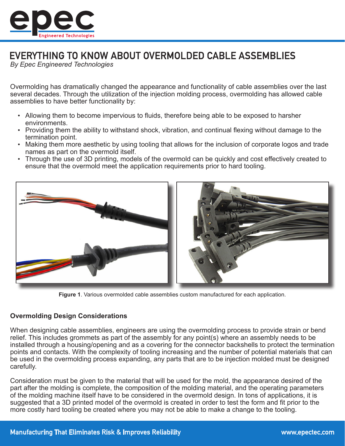

# EVERYTHING TO KNOW ABOUT OVERMOLDED CABLE ASSEMBLIES

*By Epec Engineered Technologies*

Overmolding has dramatically changed the appearance and functionality of cable assemblies over the last several decades. Through the utilization of the injection molding process, overmolding has allowed cable assemblies to have better functionality by:

- Allowing them to become impervious to fluids, therefore being able to be exposed to harsher environments.
- Providing them the ability to withstand shock, vibration, and continual flexing without damage to the termination point.
- Making them more aesthetic by using tooling that allows for the inclusion of corporate logos and trade names as part on the overmold itself.
- Through the use of 3D printing, models of the overmold can be quickly and cost effectively created to ensure that the overmold meet the application requirements prior to hard tooling.



**Figure 1**. Various overmolded cable assemblies custom manufactured for each application.

## **Overmolding Design Considerations**

When designing cable assemblies, engineers are using the overmolding process to provide strain or bend relief. This includes grommets as part of the assembly for any point(s) where an assembly needs to be installed through a housing/opening and as a covering for the connector backshells to protect the termination points and contacts. With the complexity of tooling increasing and the number of potential materials that can be used in the overmolding process expanding, any parts that are to be injection molded must be designed carefully.

Consideration must be given to the material that will be used for the mold, the appearance desired of the part after the molding is complete, the composition of the molding material, and the operating parameters of the molding machine itself have to be considered in the overmold design. In tons of applications, it is suggested that a 3D printed model of the overmold is created in order to test the form and fit prior to the more costly hard tooling be created where you may not be able to make a change to the tooling.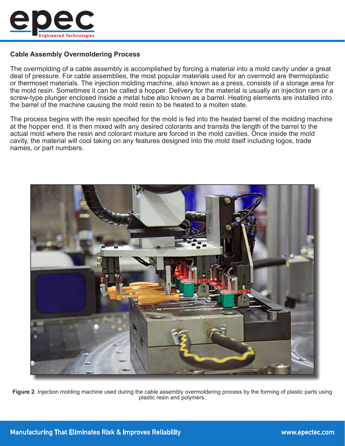

## **Cable Assembly Overmoldering Process**

The overmolding of a cable assembly is accomplished by forcing a material into a mold cavity under a great deal of pressure. For cable assemblies, the most popular materials used for an overmold are thermoplastic or thermoset materials. The injection molding machine, also known as a press, consists of a storage area for the mold resin. Sometimes it can be called a hopper. Delivery for the material is usually an injection ram or a screw-type plunger enclosed inside a metal tube also known as a barrel. Heating elements are installed into the barrel of the machine causing the mold resin to be heated to a molten state.

The process begins with the resin specified for the mold is fed into the heated barrel of the molding machine at the hopper end. It is then mixed with any desired colorants and transits the length of the barrel to the actual mold where the resin and colorant mixture are forced in the mold cavities. Once inside the mold cavity, the material will cool taking on any features designed into the mold itself including logos, trade names, or part numbers.



**Figure 2**. Injection molding machine used during the cable assembly overmoldering process by the forming of plastic parts using plastic resin and polymers.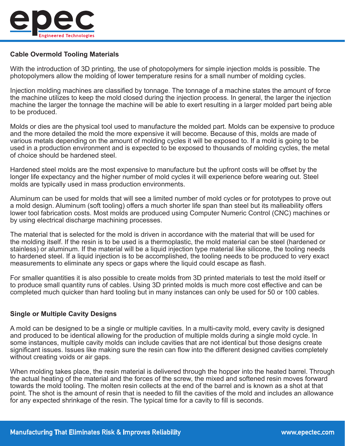

# **Cable Overmold Tooling Materials**

With the introduction of 3D printing, the use of photopolymers for simple injection molds is possible. The photopolymers allow the molding of lower temperature resins for a small number of molding cycles.

Injection molding machines are classified by tonnage. The tonnage of a machine states the amount of force the machine utilizes to keep the mold closed during the injection process. In general, the larger the injection machine the larger the tonnage the machine will be able to exert resulting in a larger molded part being able to be produced.

Molds or dies are the physical tool used to manufacture the molded part. Molds can be expensive to produce and the more detailed the mold the more expensive it will become. Because of this, molds are made of various metals depending on the amount of molding cycles it will be exposed to. If a mold is going to be used in a production environment and is expected to be exposed to thousands of molding cycles, the metal of choice should be hardened steel.

Hardened steel molds are the most expensive to manufacture but the upfront costs will be offset by the longer life expectancy and the higher number of mold cycles it will experience before wearing out. Steel molds are typically used in mass production environments.

Aluminum can be used for molds that will see a limited number of mold cycles or for prototypes to prove out a mold design. Aluminum (soft tooling) offers a much shorter life span than steel but its malleability offers lower tool fabrication costs. Most molds are produced using Computer Numeric Control (CNC) machines or by using electrical discharge machining processes.

The material that is selected for the mold is driven in accordance with the material that will be used for the molding itself. If the resin is to be used is a thermoplastic, the mold material can be steel (hardened or stainless) or aluminum. If the material will be a liquid injection type material like silicone, the tooling needs to hardened steel. If a liquid injection is to be accomplished, the tooling needs to be produced to very exact measurements to eliminate any specs or gaps where the liquid could escape as flash.

For smaller quantities it is also possible to create molds from 3D printed materials to test the mold itself or to produce small quantity runs of cables. Using 3D printed molds is much more cost effective and can be completed much quicker than hard tooling but in many instances can only be used for 50 or 100 cables.

## **Single or Multiple Cavity Designs**

A mold can be designed to be a single or multiple cavities. In a multi-cavity mold, every cavity is designed and produced to be identical allowing for the production of multiple molds during a single mold cycle. In some instances, multiple cavity molds can include cavities that are not identical but those designs create significant issues. Issues like making sure the resin can flow into the different designed cavities completely without creating voids or air gaps.

When molding takes place, the resin material is delivered through the hopper into the heated barrel. Through the actual heating of the material and the forces of the screw, the mixed and softened resin moves forward towards the mold tooling. The molten resin collects at the end of the barrel and is known as a shot at that point. The shot is the amount of resin that is needed to fill the cavities of the mold and includes an allowance for any expected shrinkage of the resin. The typical time for a cavity to fill is seconds.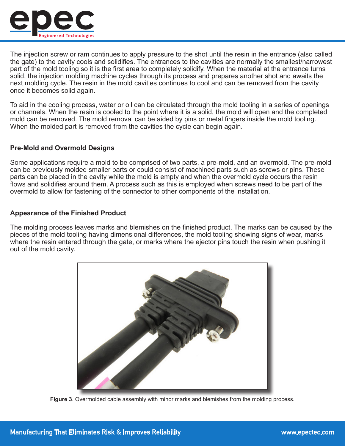

The injection screw or ram continues to apply pressure to the shot until the resin in the entrance (also called the gate) to the cavity cools and solidifies. The entrances to the cavities are normally the smallest/narrowest part of the mold tooling so it is the first area to completely solidify. When the material at the entrance turns solid, the injection molding machine cycles through its process and prepares another shot and awaits the next molding cycle. The resin in the mold cavities continues to cool and can be removed from the cavity once it becomes solid again.

To aid in the cooling process, water or oil can be circulated through the mold tooling in a series of openings or channels. When the resin is cooled to the point where it is a solid, the mold will open and the completed mold can be removed. The mold removal can be aided by pins or metal fingers inside the mold tooling. When the molded part is removed from the cavities the cycle can begin again.

#### **Pre-Mold and Overmold Designs**

Some applications require a mold to be comprised of two parts, a pre-mold, and an overmold. The pre-mold can be previously molded smaller parts or could consist of machined parts such as screws or pins. These parts can be placed in the cavity while the mold is empty and when the overmold cycle occurs the resin flows and solidifies around them. A process such as this is employed when screws need to be part of the overmold to allow for fastening of the connector to other components of the installation.

#### **Appearance of the Finished Product**

The molding process leaves marks and blemishes on the finished product. The marks can be caused by the pieces of the mold tooling having dimensional differences, the mold tooling showing signs of wear, marks where the resin entered through the gate, or marks where the ejector pins touch the resin when pushing it out of the mold cavity.



**Figure 3**. Overmolded cable assembly with minor marks and blemishes from the molding process.